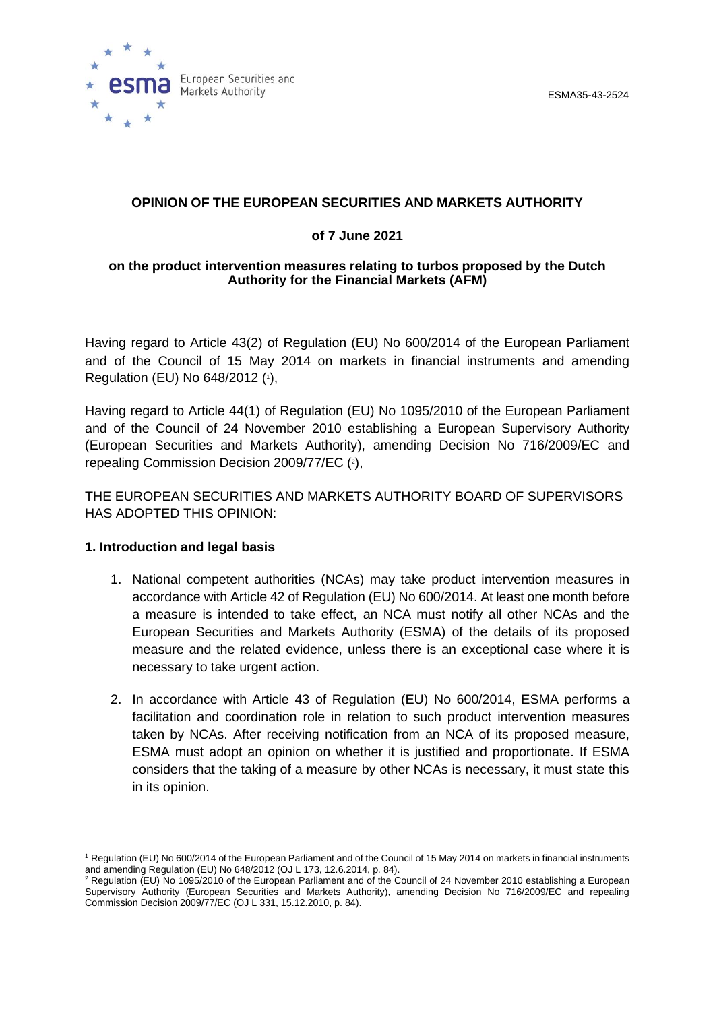



## **OPINION OF THE EUROPEAN SECURITIES AND MARKETS AUTHORITY**

### **of 7 June 2021**

#### **on the product intervention measures relating to turbos proposed by the Dutch Authority for the Financial Markets (AFM)**

Having regard to Article 43(2) of Regulation (EU) No 600/2014 of the European Parliament and of the Council of 15 May 2014 on markets in financial instruments and amending Regulation (EU) No 648/2012 ( 1 ),

Having regard to Article 44(1) of Regulation (EU) No 1095/2010 of the European Parliament and of the Council of 24 November 2010 establishing a European Supervisory Authority (European Securities and Markets Authority), amending Decision No 716/2009/EC and repealing Commission Decision 2009/77/EC (2),

THE EUROPEAN SECURITIES AND MARKETS AUTHORITY BOARD OF SUPERVISORS HAS ADOPTED THIS OPINION:

#### **1. Introduction and legal basis**

- 1. National competent authorities (NCAs) may take product intervention measures in accordance with Article 42 of Regulation (EU) No 600/2014. At least one month before a measure is intended to take effect, an NCA must notify all other NCAs and the European Securities and Markets Authority (ESMA) of the details of its proposed measure and the related evidence, unless there is an exceptional case where it is necessary to take urgent action.
- 2. In accordance with Article 43 of Regulation (EU) No 600/2014, ESMA performs a facilitation and coordination role in relation to such product intervention measures taken by NCAs. After receiving notification from an NCA of its proposed measure, ESMA must adopt an opinion on whether it is justified and proportionate. If ESMA considers that the taking of a measure by other NCAs is necessary, it must state this in its opinion.

<sup>1</sup> Regulation (EU) No 600/2014 of the European Parliament and of the Council of 15 May 2014 on markets in financial instruments and amending Regulation (EU) No 648/2012 (OJ L 173, 12.6.2014, p. 84).

<sup>&</sup>lt;sup>2</sup> Regulation (EU) No 1095/2010 of the European Parliament and of the Council of 24 November 2010 establishing a European Supervisory Authority (European Securities and Markets Authority), amending Decision No 716/2009/EC and repealing Commission Decision 2009/77/EC (OJ L 331, 15.12.2010, p. 84).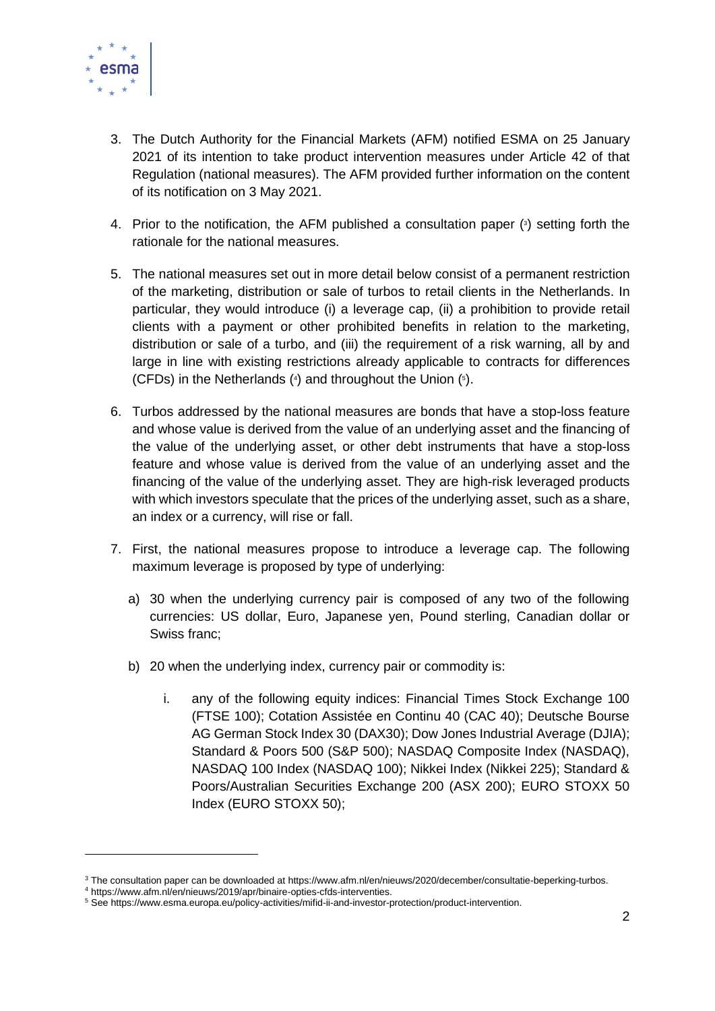

- 3. The Dutch Authority for the Financial Markets (AFM) notified ESMA on 25 January 2021 of its intention to take product intervention measures under Article 42 of that Regulation (national measures). The AFM provided further information on the content of its notification on 3 May 2021.
- 4. Prior to the notification, the AFM published a consultation paper ( 3 ) setting forth the rationale for the national measures.
- 5. The national measures set out in more detail below consist of a permanent restriction of the marketing, distribution or sale of turbos to retail clients in the Netherlands. In particular, they would introduce (i) a leverage cap, (ii) a prohibition to provide retail clients with a payment or other prohibited benefits in relation to the marketing, distribution or sale of a turbo, and (iii) the requirement of a risk warning, all by and large in line with existing restrictions already applicable to contracts for differences (CFDs) in the Netherlands ( 4 ) and throughout the Union ( 5 ).
- 6. Turbos addressed by the national measures are bonds that have a stop-loss feature and whose value is derived from the value of an underlying asset and the financing of the value of the underlying asset, or other debt instruments that have a stop-loss feature and whose value is derived from the value of an underlying asset and the financing of the value of the underlying asset. They are high-risk leveraged products with which investors speculate that the prices of the underlying asset, such as a share, an index or a currency, will rise or fall.
- 7. First, the national measures propose to introduce a leverage cap. The following maximum leverage is proposed by type of underlying:
	- a) 30 when the underlying currency pair is composed of any two of the following currencies: US dollar, Euro, Japanese yen, Pound sterling, Canadian dollar or Swiss franc;
	- b) 20 when the underlying index, currency pair or commodity is:
		- i. any of the following equity indices: Financial Times Stock Exchange 100 (FTSE 100); Cotation Assistée en Continu 40 (CAC 40); Deutsche Bourse AG German Stock Index 30 (DAX30); Dow Jones Industrial Average (DJIA); Standard & Poors 500 (S&P 500); NASDAQ Composite Index (NASDAQ), NASDAQ 100 Index (NASDAQ 100); Nikkei Index (Nikkei 225); Standard & Poors/Australian Securities Exchange 200 (ASX 200); EURO STOXX 50 Index (EURO STOXX 50);

<sup>&</sup>lt;sup>3</sup> The consultation paper can be downloaded at https://www.afm.nl/en/nieuws/2020/december/consultatie-beperking-turbos.

<sup>4</sup> https://www.afm.nl/en/nieuws/2019/apr/binaire-opties-cfds-interventies.

<sup>5</sup> See https://www.esma.europa.eu/policy-activities/mifid-ii-and-investor-protection/product-intervention.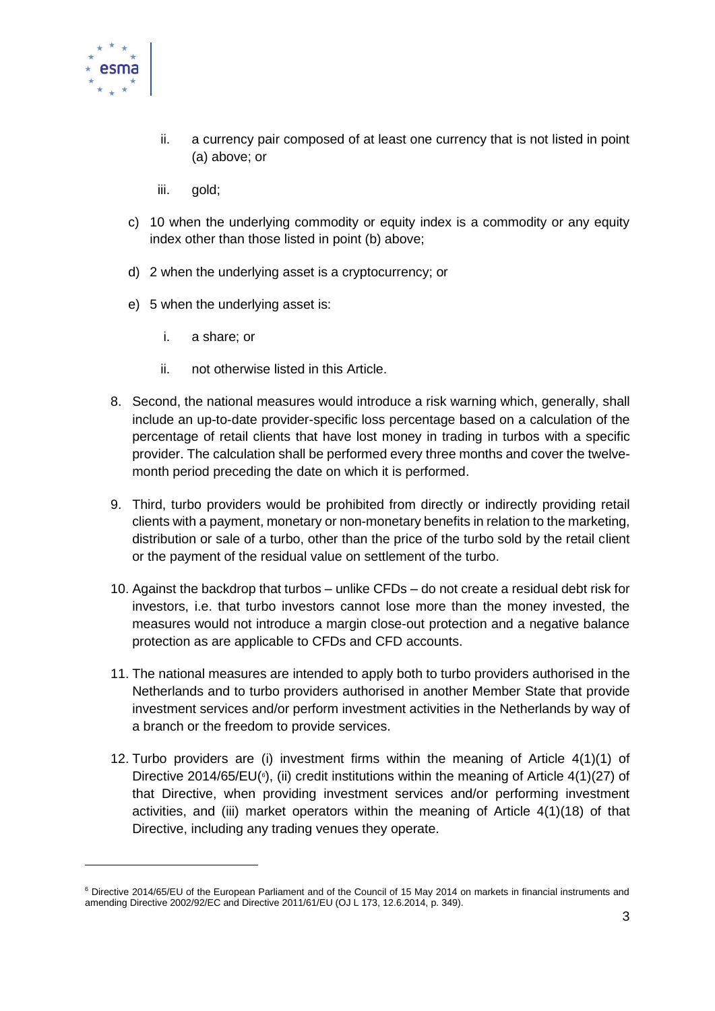

- ii. a currency pair composed of at least one currency that is not listed in point (a) above; or
- iii. gold;
- c) 10 when the underlying commodity or equity index is a commodity or any equity index other than those listed in point (b) above;
- d) 2 when the underlying asset is a cryptocurrency; or
- e) 5 when the underlying asset is:
	- i. a share; or
	- ii. not otherwise listed in this Article.
- 8. Second, the national measures would introduce a risk warning which, generally, shall include an up-to-date provider-specific loss percentage based on a calculation of the percentage of retail clients that have lost money in trading in turbos with a specific provider. The calculation shall be performed every three months and cover the twelvemonth period preceding the date on which it is performed.
- 9. Third, turbo providers would be prohibited from directly or indirectly providing retail clients with a payment, monetary or non-monetary benefits in relation to the marketing, distribution or sale of a turbo, other than the price of the turbo sold by the retail client or the payment of the residual value on settlement of the turbo.
- 10. Against the backdrop that turbos unlike CFDs do not create a residual debt risk for investors, i.e. that turbo investors cannot lose more than the money invested, the measures would not introduce a margin close-out protection and a negative balance protection as are applicable to CFDs and CFD accounts.
- 11. The national measures are intended to apply both to turbo providers authorised in the Netherlands and to turbo providers authorised in another Member State that provide investment services and/or perform investment activities in the Netherlands by way of a branch or the freedom to provide services.
- 12. Turbo providers are (i) investment firms within the meaning of Article 4(1)(1) of Directive 2014/65/EU $(\text{6})$ , (ii) credit institutions within the meaning of Article 4(1)(27) of that Directive, when providing investment services and/or performing investment activities, and (iii) market operators within the meaning of Article 4(1)(18) of that Directive, including any trading venues they operate.

<sup>6</sup> Directive 2014/65/EU of the European Parliament and of the Council of 15 May 2014 on markets in financial instruments and amending Directive 2002/92/EC and Directive 2011/61/EU (OJ L 173, 12.6.2014, p. 349).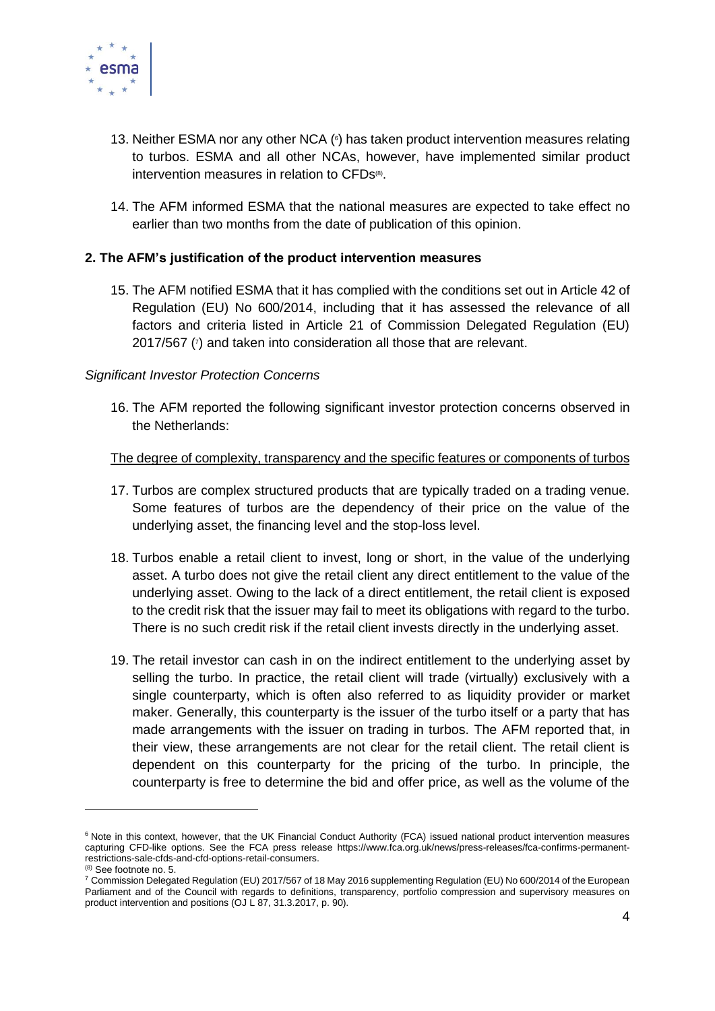

- 13. Neither ESMA nor any other NCA ( 6 ) has taken product intervention measures relating to turbos. ESMA and all other NCAs, however, have implemented similar product intervention measures in relation to CFDs<sup>®</sup>.
- 14. The AFM informed ESMA that the national measures are expected to take effect no earlier than two months from the date of publication of this opinion.

### **2. The AFM's justification of the product intervention measures**

15. The AFM notified ESMA that it has complied with the conditions set out in Article 42 of Regulation (EU) No 600/2014, including that it has assessed the relevance of all factors and criteria listed in Article 21 of Commission Delegated Regulation (EU) 2017/567 (<sup>7</sup> ) and taken into consideration all those that are relevant.

### *Significant Investor Protection Concerns*

16. The AFM reported the following significant investor protection concerns observed in the Netherlands:

### The degree of complexity, transparency and the specific features or components of turbos

- 17. Turbos are complex structured products that are typically traded on a trading venue. Some features of turbos are the dependency of their price on the value of the underlying asset, the financing level and the stop-loss level.
- 18. Turbos enable a retail client to invest, long or short, in the value of the underlying asset. A turbo does not give the retail client any direct entitlement to the value of the underlying asset. Owing to the lack of a direct entitlement, the retail client is exposed to the credit risk that the issuer may fail to meet its obligations with regard to the turbo. There is no such credit risk if the retail client invests directly in the underlying asset.
- 19. The retail investor can cash in on the indirect entitlement to the underlying asset by selling the turbo. In practice, the retail client will trade (virtually) exclusively with a single counterparty, which is often also referred to as liquidity provider or market maker. Generally, this counterparty is the issuer of the turbo itself or a party that has made arrangements with the issuer on trading in turbos. The AFM reported that, in their view, these arrangements are not clear for the retail client. The retail client is dependent on this counterparty for the pricing of the turbo. In principle, the counterparty is free to determine the bid and offer price, as well as the volume of the

<sup>&</sup>lt;sup>6</sup> Note in this context, however, that the UK Financial Conduct Authority (FCA) issued national product intervention measures capturing CFD-like options. See the FCA press release https://www.fca.org.uk/news/press-releases/fca-confirms-permanentrestrictions-sale-cfds-and-cfd-options-retail-consumers.

<sup>(8)</sup> See footnote no. 5.

<sup>7</sup> Commission Delegated Regulation (EU) 2017/567 of 18 May 2016 supplementing Regulation (EU) No 600/2014 of the European Parliament and of the Council with regards to definitions, transparency, portfolio compression and supervisory measures on product intervention and positions (OJ L 87, 31.3.2017, p. 90).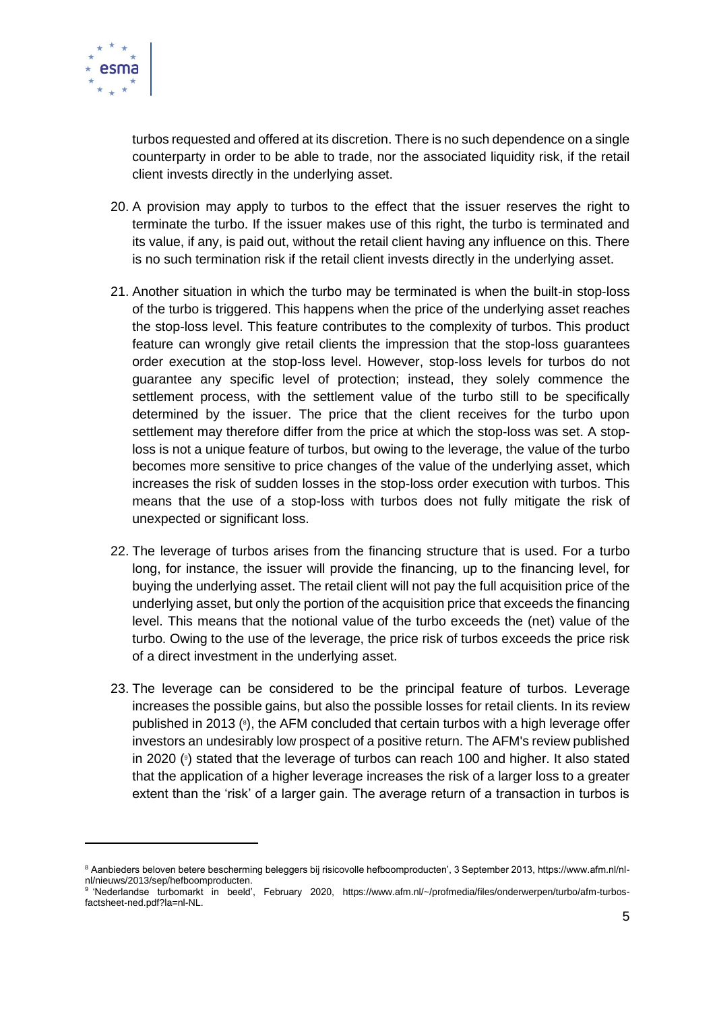

turbos requested and offered at its discretion. There is no such dependence on a single counterparty in order to be able to trade, nor the associated liquidity risk, if the retail client invests directly in the underlying asset.

- 20. A provision may apply to turbos to the effect that the issuer reserves the right to terminate the turbo. If the issuer makes use of this right, the turbo is terminated and its value, if any, is paid out, without the retail client having any influence on this. There is no such termination risk if the retail client invests directly in the underlying asset.
- 21. Another situation in which the turbo may be terminated is when the built-in stop-loss of the turbo is triggered. This happens when the price of the underlying asset reaches the stop-loss level. This feature contributes to the complexity of turbos. This product feature can wrongly give retail clients the impression that the stop-loss guarantees order execution at the stop-loss level. However, stop-loss levels for turbos do not guarantee any specific level of protection; instead, they solely commence the settlement process, with the settlement value of the turbo still to be specifically determined by the issuer. The price that the client receives for the turbo upon settlement may therefore differ from the price at which the stop-loss was set. A stoploss is not a unique feature of turbos, but owing to the leverage, the value of the turbo becomes more sensitive to price changes of the value of the underlying asset, which increases the risk of sudden losses in the stop-loss order execution with turbos. This means that the use of a stop-loss with turbos does not fully mitigate the risk of unexpected or significant loss.
- 22. The leverage of turbos arises from the financing structure that is used. For a turbo long, for instance, the issuer will provide the financing, up to the financing level, for buying the underlying asset. The retail client will not pay the full acquisition price of the underlying asset, but only the portion of the acquisition price that exceeds the financing level. This means that the notional value of the turbo exceeds the (net) value of the turbo. Owing to the use of the leverage, the price risk of turbos exceeds the price risk of a direct investment in the underlying asset.
- 23. The leverage can be considered to be the principal feature of turbos. Leverage increases the possible gains, but also the possible losses for retail clients. In its review published in 2013 (<sup>8</sup>), the AFM concluded that certain turbos with a high leverage offer investors an undesirably low prospect of a positive return. The AFM's review published in 2020 ( 9 ) stated that the leverage of turbos can reach 100 and higher. It also stated that the application of a higher leverage increases the risk of a larger loss to a greater extent than the 'risk' of a larger gain. The average return of a transaction in turbos is

<sup>8</sup> Aanbieders beloven betere bescherming beleggers bij risicovolle hefboomproducten', 3 September 2013, https://www.afm.nl/nlnl/nieuws/2013/sep/hefboomproducten.

<sup>9</sup> 'Nederlandse turbomarkt in beeld', February 2020, https://www.afm.nl/~/profmedia/files/onderwerpen/turbo/afm-turbosfactsheet-ned.pdf?la=nl-NL.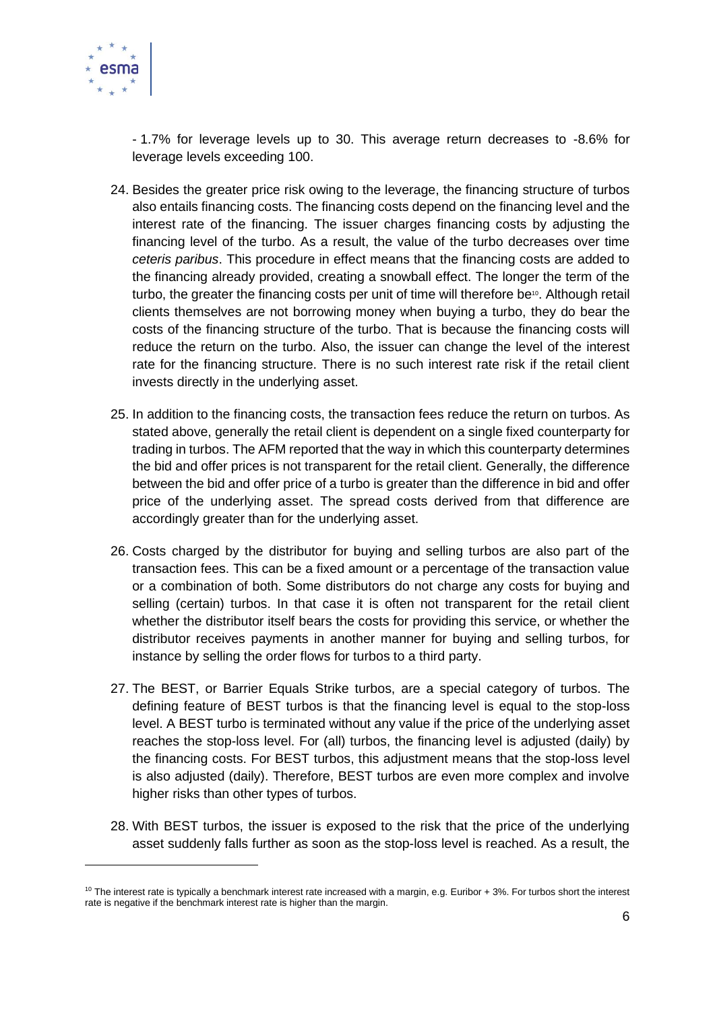

- 1.7% for leverage levels up to 30. This average return decreases to -8.6% for leverage levels exceeding 100.

- 24. Besides the greater price risk owing to the leverage, the financing structure of turbos also entails financing costs. The financing costs depend on the financing level and the interest rate of the financing. The issuer charges financing costs by adjusting the financing level of the turbo. As a result, the value of the turbo decreases over time *ceteris paribus*. This procedure in effect means that the financing costs are added to the financing already provided, creating a snowball effect. The longer the term of the turbo, the greater the financing costs per unit of time will therefore be<sup>10</sup>. Although retail clients themselves are not borrowing money when buying a turbo, they do bear the costs of the financing structure of the turbo. That is because the financing costs will reduce the return on the turbo. Also, the issuer can change the level of the interest rate for the financing structure. There is no such interest rate risk if the retail client invests directly in the underlying asset.
- 25. In addition to the financing costs, the transaction fees reduce the return on turbos. As stated above, generally the retail client is dependent on a single fixed counterparty for trading in turbos. The AFM reported that the way in which this counterparty determines the bid and offer prices is not transparent for the retail client. Generally, the difference between the bid and offer price of a turbo is greater than the difference in bid and offer price of the underlying asset. The spread costs derived from that difference are accordingly greater than for the underlying asset.
- 26. Costs charged by the distributor for buying and selling turbos are also part of the transaction fees. This can be a fixed amount or a percentage of the transaction value or a combination of both. Some distributors do not charge any costs for buying and selling (certain) turbos. In that case it is often not transparent for the retail client whether the distributor itself bears the costs for providing this service, or whether the distributor receives payments in another manner for buying and selling turbos, for instance by selling the order flows for turbos to a third party.
- 27. The BEST, or Barrier Equals Strike turbos, are a special category of turbos. The defining feature of BEST turbos is that the financing level is equal to the stop-loss level. A BEST turbo is terminated without any value if the price of the underlying asset reaches the stop-loss level. For (all) turbos, the financing level is adjusted (daily) by the financing costs. For BEST turbos, this adjustment means that the stop-loss level is also adjusted (daily). Therefore, BEST turbos are even more complex and involve higher risks than other types of turbos.
- 28. With BEST turbos, the issuer is exposed to the risk that the price of the underlying asset suddenly falls further as soon as the stop-loss level is reached. As a result, the

<sup>&</sup>lt;sup>10</sup> The interest rate is typically a benchmark interest rate increased with a margin, e.g. Euribor + 3%. For turbos short the interest rate is negative if the benchmark interest rate is higher than the margin.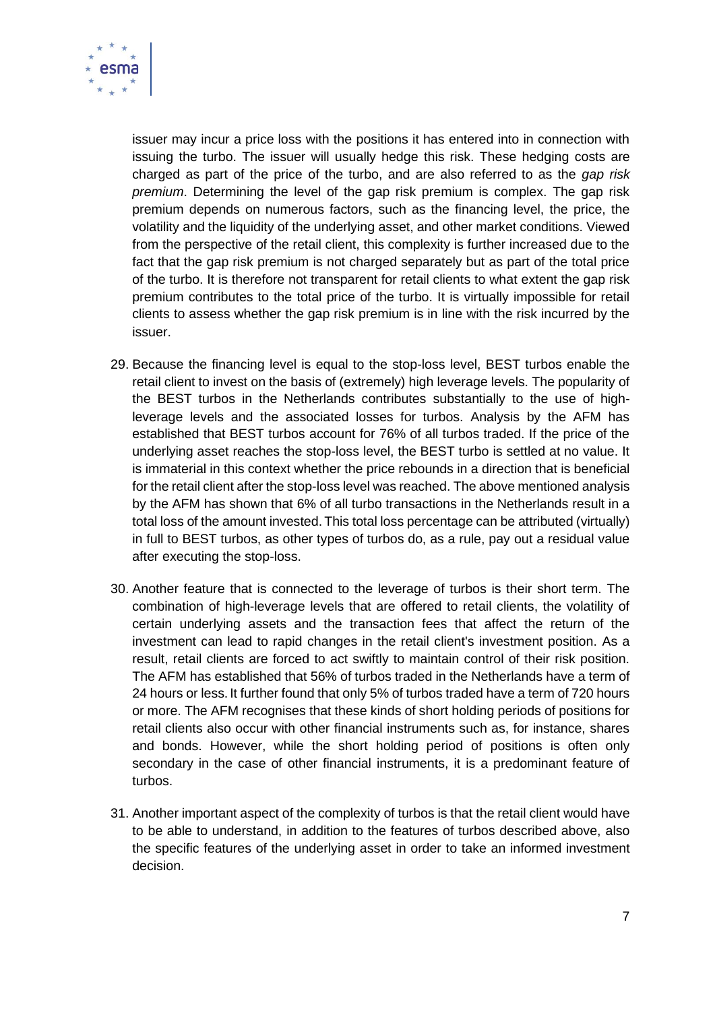

issuer may incur a price loss with the positions it has entered into in connection with issuing the turbo. The issuer will usually hedge this risk. These hedging costs are charged as part of the price of the turbo, and are also referred to as the *gap risk premium*. Determining the level of the gap risk premium is complex. The gap risk premium depends on numerous factors, such as the financing level, the price, the volatility and the liquidity of the underlying asset, and other market conditions. Viewed from the perspective of the retail client, this complexity is further increased due to the fact that the gap risk premium is not charged separately but as part of the total price of the turbo. It is therefore not transparent for retail clients to what extent the gap risk premium contributes to the total price of the turbo. It is virtually impossible for retail clients to assess whether the gap risk premium is in line with the risk incurred by the issuer.

- 29. Because the financing level is equal to the stop-loss level, BEST turbos enable the retail client to invest on the basis of (extremely) high leverage levels. The popularity of the BEST turbos in the Netherlands contributes substantially to the use of highleverage levels and the associated losses for turbos. Analysis by the AFM has established that BEST turbos account for 76% of all turbos traded. If the price of the underlying asset reaches the stop-loss level, the BEST turbo is settled at no value. It is immaterial in this context whether the price rebounds in a direction that is beneficial for the retail client after the stop-loss level was reached. The above mentioned analysis by the AFM has shown that 6% of all turbo transactions in the Netherlands result in a total loss of the amount invested. This total loss percentage can be attributed (virtually) in full to BEST turbos, as other types of turbos do, as a rule, pay out a residual value after executing the stop-loss.
- 30. Another feature that is connected to the leverage of turbos is their short term. The combination of high-leverage levels that are offered to retail clients, the volatility of certain underlying assets and the transaction fees that affect the return of the investment can lead to rapid changes in the retail client's investment position. As a result, retail clients are forced to act swiftly to maintain control of their risk position. The AFM has established that 56% of turbos traded in the Netherlands have a term of 24 hours or less. It further found that only 5% of turbos traded have a term of 720 hours or more. The AFM recognises that these kinds of short holding periods of positions for retail clients also occur with other financial instruments such as, for instance, shares and bonds. However, while the short holding period of positions is often only secondary in the case of other financial instruments, it is a predominant feature of turbos.
- 31. Another important aspect of the complexity of turbos is that the retail client would have to be able to understand, in addition to the features of turbos described above, also the specific features of the underlying asset in order to take an informed investment decision.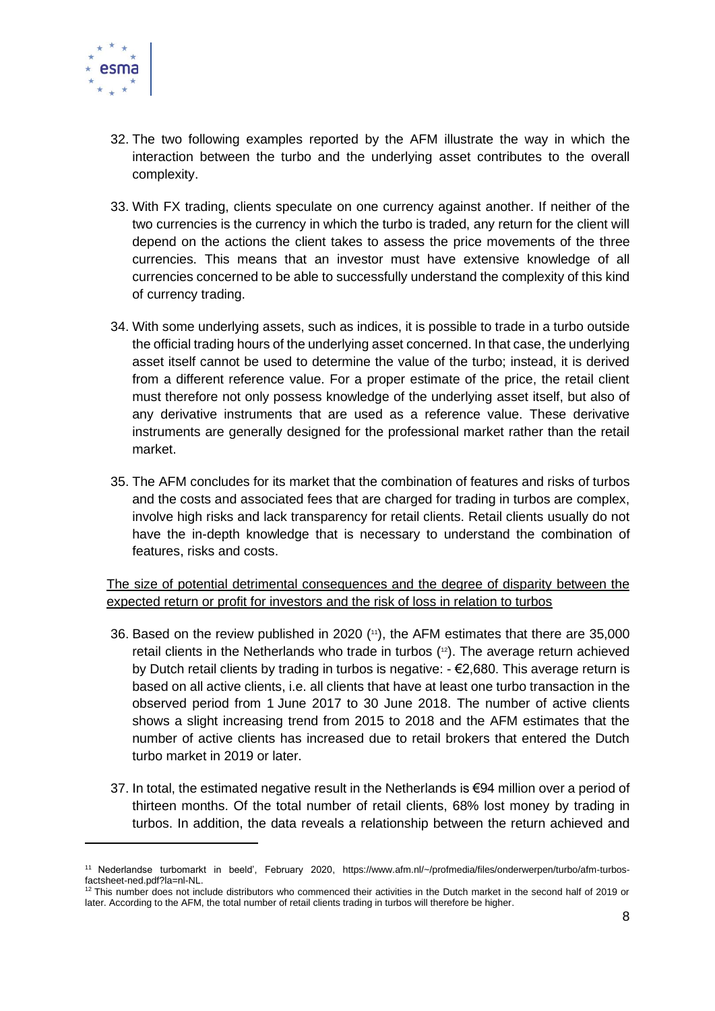

- 32. The two following examples reported by the AFM illustrate the way in which the interaction between the turbo and the underlying asset contributes to the overall complexity.
- 33. With FX trading, clients speculate on one currency against another. If neither of the two currencies is the currency in which the turbo is traded, any return for the client will depend on the actions the client takes to assess the price movements of the three currencies. This means that an investor must have extensive knowledge of all currencies concerned to be able to successfully understand the complexity of this kind of currency trading.
- 34. With some underlying assets, such as indices, it is possible to trade in a turbo outside the official trading hours of the underlying asset concerned. In that case, the underlying asset itself cannot be used to determine the value of the turbo; instead, it is derived from a different reference value. For a proper estimate of the price, the retail client must therefore not only possess knowledge of the underlying asset itself, but also of any derivative instruments that are used as a reference value. These derivative instruments are generally designed for the professional market rather than the retail market.
- 35. The AFM concludes for its market that the combination of features and risks of turbos and the costs and associated fees that are charged for trading in turbos are complex, involve high risks and lack transparency for retail clients. Retail clients usually do not have the in-depth knowledge that is necessary to understand the combination of features, risks and costs.

The size of potential detrimental consequences and the degree of disparity between the expected return or profit for investors and the risk of loss in relation to turbos

- 36. Based on the review published in 2020 ( <sup>11</sup>), the AFM estimates that there are 35,000 retail clients in the Netherlands who trade in turbos ( <sup>12</sup>). The average return achieved by Dutch retail clients by trading in turbos is negative: - €2,680. This average return is based on all active clients, i.e. all clients that have at least one turbo transaction in the observed period from 1 June 2017 to 30 June 2018. The number of active clients shows a slight increasing trend from 2015 to 2018 and the AFM estimates that the number of active clients has increased due to retail brokers that entered the Dutch turbo market in 2019 or later.
- 37. In total, the estimated negative result in the Netherlands is €94 million over a period of thirteen months. Of the total number of retail clients, 68% lost money by trading in turbos. In addition, the data reveals a relationship between the return achieved and

<sup>11</sup> Nederlandse turbomarkt in beeld', February 2020, https://www.afm.nl/~/profmedia/files/onderwerpen/turbo/afm-turbosfactsheet-ned.pdf?la=nl-NL.

<sup>12</sup> This number does not include distributors who commenced their activities in the Dutch market in the second half of 2019 or later. According to the AFM, the total number of retail clients trading in turbos will therefore be higher.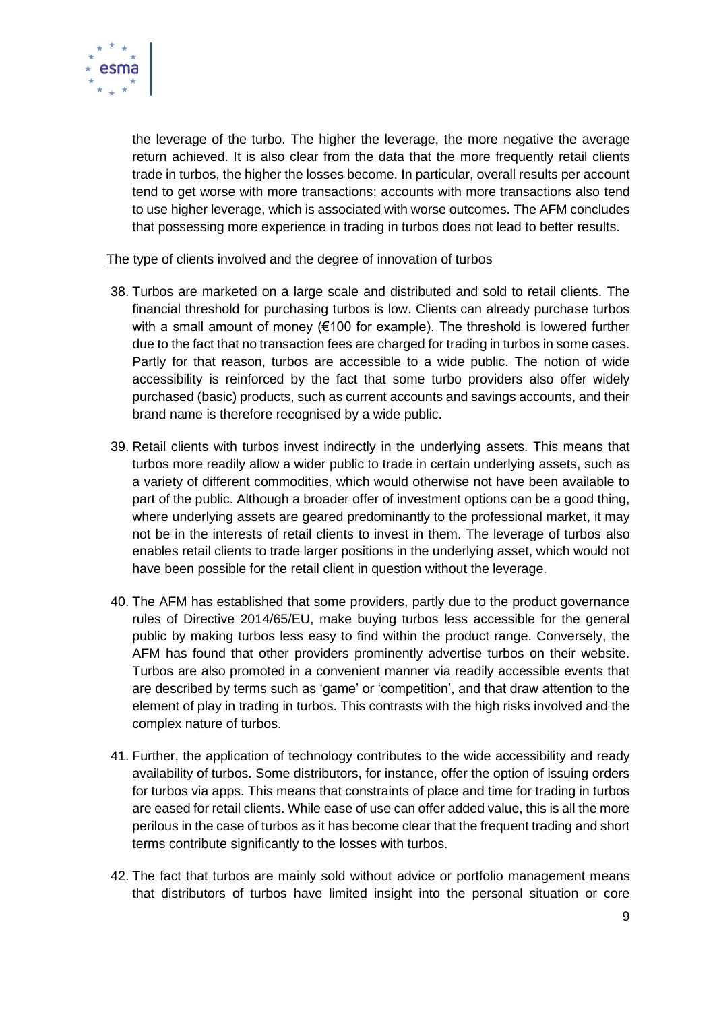

the leverage of the turbo. The higher the leverage, the more negative the average return achieved. It is also clear from the data that the more frequently retail clients trade in turbos, the higher the losses become. In particular, overall results per account tend to get worse with more transactions; accounts with more transactions also tend to use higher leverage, which is associated with worse outcomes. The AFM concludes that possessing more experience in trading in turbos does not lead to better results.

### The type of clients involved and the degree of innovation of turbos

- 38. Turbos are marketed on a large scale and distributed and sold to retail clients. The financial threshold for purchasing turbos is low. Clients can already purchase turbos with a small amount of money (€100 for example). The threshold is lowered further due to the fact that no transaction fees are charged for trading in turbos in some cases. Partly for that reason, turbos are accessible to a wide public. The notion of wide accessibility is reinforced by the fact that some turbo providers also offer widely purchased (basic) products, such as current accounts and savings accounts, and their brand name is therefore recognised by a wide public.
- 39. Retail clients with turbos invest indirectly in the underlying assets. This means that turbos more readily allow a wider public to trade in certain underlying assets, such as a variety of different commodities, which would otherwise not have been available to part of the public. Although a broader offer of investment options can be a good thing, where underlying assets are geared predominantly to the professional market, it may not be in the interests of retail clients to invest in them. The leverage of turbos also enables retail clients to trade larger positions in the underlying asset, which would not have been possible for the retail client in question without the leverage.
- 40. The AFM has established that some providers, partly due to the product governance rules of Directive 2014/65/EU, make buying turbos less accessible for the general public by making turbos less easy to find within the product range. Conversely, the AFM has found that other providers prominently advertise turbos on their website. Turbos are also promoted in a convenient manner via readily accessible events that are described by terms such as 'game' or 'competition', and that draw attention to the element of play in trading in turbos. This contrasts with the high risks involved and the complex nature of turbos.
- 41. Further, the application of technology contributes to the wide accessibility and ready availability of turbos. Some distributors, for instance, offer the option of issuing orders for turbos via apps. This means that constraints of place and time for trading in turbos are eased for retail clients. While ease of use can offer added value, this is all the more perilous in the case of turbos as it has become clear that the frequent trading and short terms contribute significantly to the losses with turbos.
- 42. The fact that turbos are mainly sold without advice or portfolio management means that distributors of turbos have limited insight into the personal situation or core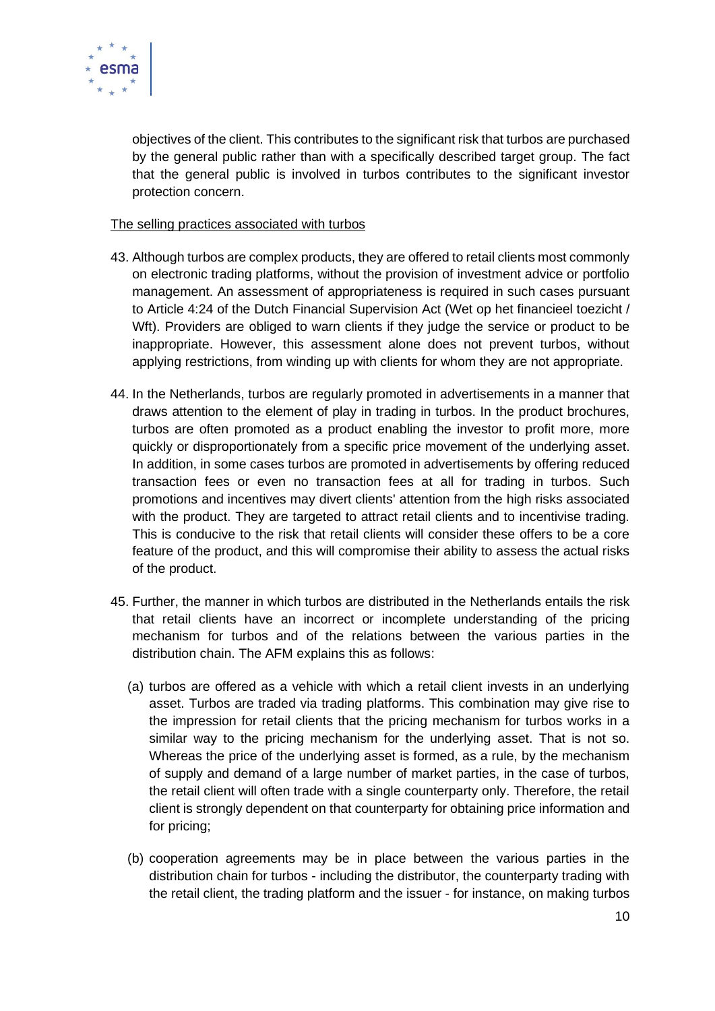

objectives of the client. This contributes to the significant risk that turbos are purchased by the general public rather than with a specifically described target group. The fact that the general public is involved in turbos contributes to the significant investor protection concern.

### The selling practices associated with turbos

- 43. Although turbos are complex products, they are offered to retail clients most commonly on electronic trading platforms, without the provision of investment advice or portfolio management. An assessment of appropriateness is required in such cases pursuant to Article 4:24 of the Dutch Financial Supervision Act (Wet op het financieel toezicht / Wft). Providers are obliged to warn clients if they judge the service or product to be inappropriate. However, this assessment alone does not prevent turbos, without applying restrictions, from winding up with clients for whom they are not appropriate.
- 44. In the Netherlands, turbos are regularly promoted in advertisements in a manner that draws attention to the element of play in trading in turbos. In the product brochures, turbos are often promoted as a product enabling the investor to profit more, more quickly or disproportionately from a specific price movement of the underlying asset. In addition, in some cases turbos are promoted in advertisements by offering reduced transaction fees or even no transaction fees at all for trading in turbos. Such promotions and incentives may divert clients' attention from the high risks associated with the product. They are targeted to attract retail clients and to incentivise trading. This is conducive to the risk that retail clients will consider these offers to be a core feature of the product, and this will compromise their ability to assess the actual risks of the product.
- 45. Further, the manner in which turbos are distributed in the Netherlands entails the risk that retail clients have an incorrect or incomplete understanding of the pricing mechanism for turbos and of the relations between the various parties in the distribution chain. The AFM explains this as follows:
	- (a) turbos are offered as a vehicle with which a retail client invests in an underlying asset. Turbos are traded via trading platforms. This combination may give rise to the impression for retail clients that the pricing mechanism for turbos works in a similar way to the pricing mechanism for the underlying asset. That is not so. Whereas the price of the underlying asset is formed, as a rule, by the mechanism of supply and demand of a large number of market parties, in the case of turbos, the retail client will often trade with a single counterparty only. Therefore, the retail client is strongly dependent on that counterparty for obtaining price information and for pricing;
	- (b) cooperation agreements may be in place between the various parties in the distribution chain for turbos - including the distributor, the counterparty trading with the retail client, the trading platform and the issuer - for instance, on making turbos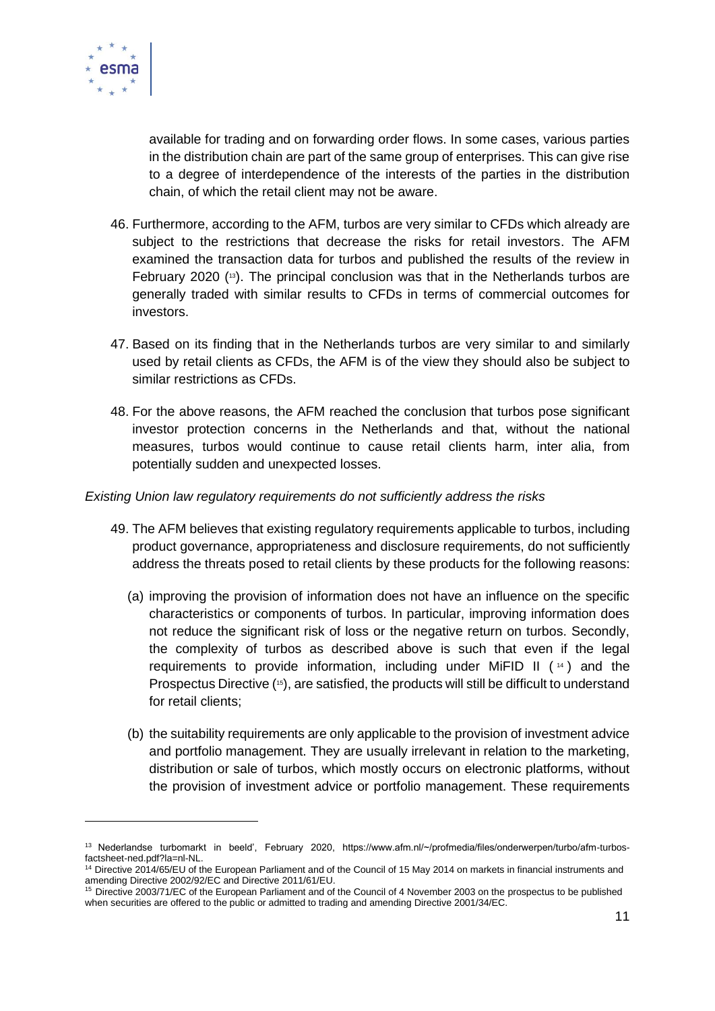

available for trading and on forwarding order flows. In some cases, various parties in the distribution chain are part of the same group of enterprises. This can give rise to a degree of interdependence of the interests of the parties in the distribution chain, of which the retail client may not be aware.

- 46. Furthermore, according to the AFM, turbos are very similar to CFDs which already are subject to the restrictions that decrease the risks for retail investors. The AFM examined the transaction data for turbos and published the results of the review in February 2020 ( <sup>13</sup>). The principal conclusion was that in the Netherlands turbos are generally traded with similar results to CFDs in terms of commercial outcomes for investors.
- 47. Based on its finding that in the Netherlands turbos are very similar to and similarly used by retail clients as CFDs, the AFM is of the view they should also be subject to similar restrictions as CFDs.
- 48. For the above reasons, the AFM reached the conclusion that turbos pose significant investor protection concerns in the Netherlands and that, without the national measures, turbos would continue to cause retail clients harm, inter alia, from potentially sudden and unexpected losses.

#### *Existing Union law regulatory requirements do not sufficiently address the risks*

- 49. The AFM believes that existing regulatory requirements applicable to turbos, including product governance, appropriateness and disclosure requirements, do not sufficiently address the threats posed to retail clients by these products for the following reasons:
	- (a) improving the provision of information does not have an influence on the specific characteristics or components of turbos. In particular, improving information does not reduce the significant risk of loss or the negative return on turbos. Secondly, the complexity of turbos as described above is such that even if the legal requirements to provide information, including under MiFID II  $(14)$  and the Prospectus Directive (<sup>15</sup>), are satisfied, the products will still be difficult to understand for retail clients;
	- (b) the suitability requirements are only applicable to the provision of investment advice and portfolio management. They are usually irrelevant in relation to the marketing, distribution or sale of turbos, which mostly occurs on electronic platforms, without the provision of investment advice or portfolio management. These requirements

<sup>&</sup>lt;sup>13</sup> Nederlandse turbomarkt in beeld', February 2020, https://www.afm.nl/~/profmedia/files/onderwerpen/turbo/afm-turbosfactsheet-ned.pdf?la=nl-NL.

<sup>&</sup>lt;sup>14</sup> Directive 2014/65/EU of the European Parliament and of the Council of 15 May 2014 on markets in financial instruments and amending Directive 2002/92/EC and Directive 2011/61/EU.

<sup>15</sup> Directive 2003/71/EC of the European Parliament and of the Council of 4 November 2003 on the prospectus to be published when securities are offered to the public or admitted to trading and amending Directive 2001/34/EC.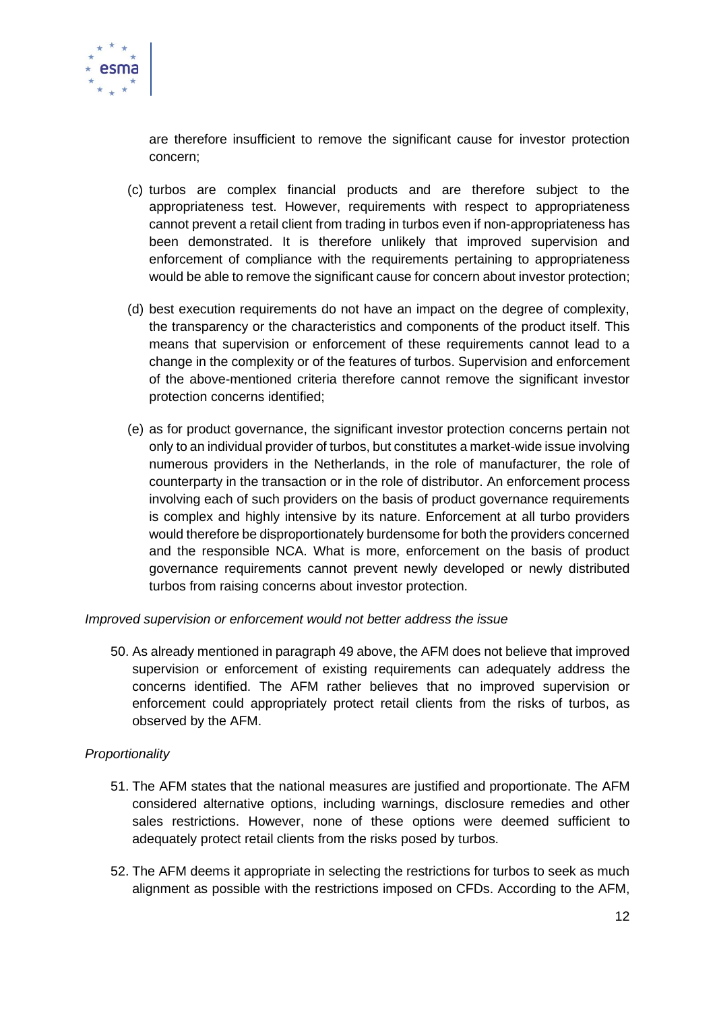

are therefore insufficient to remove the significant cause for investor protection concern;

- (c) turbos are complex financial products and are therefore subject to the appropriateness test. However, requirements with respect to appropriateness cannot prevent a retail client from trading in turbos even if non-appropriateness has been demonstrated. It is therefore unlikely that improved supervision and enforcement of compliance with the requirements pertaining to appropriateness would be able to remove the significant cause for concern about investor protection;
- (d) best execution requirements do not have an impact on the degree of complexity, the transparency or the characteristics and components of the product itself. This means that supervision or enforcement of these requirements cannot lead to a change in the complexity or of the features of turbos. Supervision and enforcement of the above-mentioned criteria therefore cannot remove the significant investor protection concerns identified;
- (e) as for product governance, the significant investor protection concerns pertain not only to an individual provider of turbos, but constitutes a market-wide issue involving numerous providers in the Netherlands, in the role of manufacturer, the role of counterparty in the transaction or in the role of distributor. An enforcement process involving each of such providers on the basis of product governance requirements is complex and highly intensive by its nature. Enforcement at all turbo providers would therefore be disproportionately burdensome for both the providers concerned and the responsible NCA. What is more, enforcement on the basis of product governance requirements cannot prevent newly developed or newly distributed turbos from raising concerns about investor protection.

*Improved supervision or enforcement would not better address the issue*

50. As already mentioned in paragraph 49 above, the AFM does not believe that improved supervision or enforcement of existing requirements can adequately address the concerns identified. The AFM rather believes that no improved supervision or enforcement could appropriately protect retail clients from the risks of turbos, as observed by the AFM.

## *Proportionality*

- 51. The AFM states that the national measures are justified and proportionate. The AFM considered alternative options, including warnings, disclosure remedies and other sales restrictions. However, none of these options were deemed sufficient to adequately protect retail clients from the risks posed by turbos.
- 52. The AFM deems it appropriate in selecting the restrictions for turbos to seek as much alignment as possible with the restrictions imposed on CFDs. According to the AFM,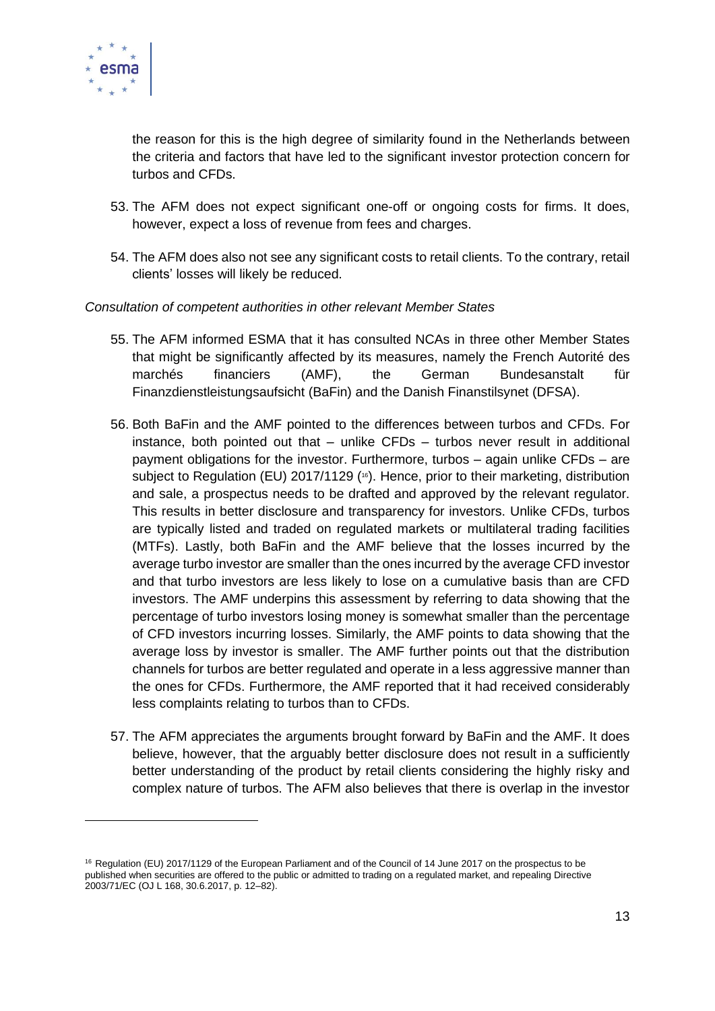

the reason for this is the high degree of similarity found in the Netherlands between the criteria and factors that have led to the significant investor protection concern for turbos and CFDs.

- 53. The AFM does not expect significant one-off or ongoing costs for firms. It does, however, expect a loss of revenue from fees and charges.
- 54. The AFM does also not see any significant costs to retail clients. To the contrary, retail clients' losses will likely be reduced.

### *Consultation of competent authorities in other relevant Member States*

- 55. The AFM informed ESMA that it has consulted NCAs in three other Member States that might be significantly affected by its measures, namely the French Autorité des marchés financiers (AMF), the German Bundesanstalt für Finanzdienstleistungsaufsicht (BaFin) and the Danish Finanstilsynet (DFSA).
- 56. Both BaFin and the AMF pointed to the differences between turbos and CFDs. For instance, both pointed out that – unlike CFDs – turbos never result in additional payment obligations for the investor. Furthermore, turbos – again unlike CFDs – are subject to Regulation (EU) 2017/1129 (<sup>16</sup>). Hence, prior to their marketing, distribution and sale, a prospectus needs to be drafted and approved by the relevant regulator. This results in better disclosure and transparency for investors. Unlike CFDs, turbos are typically listed and traded on regulated markets or multilateral trading facilities (MTFs). Lastly, both BaFin and the AMF believe that the losses incurred by the average turbo investor are smaller than the ones incurred by the average CFD investor and that turbo investors are less likely to lose on a cumulative basis than are CFD investors. The AMF underpins this assessment by referring to data showing that the percentage of turbo investors losing money is somewhat smaller than the percentage of CFD investors incurring losses. Similarly, the AMF points to data showing that the average loss by investor is smaller. The AMF further points out that the distribution channels for turbos are better regulated and operate in a less aggressive manner than the ones for CFDs. Furthermore, the AMF reported that it had received considerably less complaints relating to turbos than to CFDs.
- 57. The AFM appreciates the arguments brought forward by BaFin and the AMF. It does believe, however, that the arguably better disclosure does not result in a sufficiently better understanding of the product by retail clients considering the highly risky and complex nature of turbos. The AFM also believes that there is overlap in the investor

<sup>&</sup>lt;sup>16</sup> Regulation (EU) 2017/1129 of the European Parliament and of the Council of 14 June 2017 on the prospectus to be published when securities are offered to the public or admitted to trading on a regulated market, and repealing Directive 2003/71/EC (OJ L 168, 30.6.2017, p. 12–82).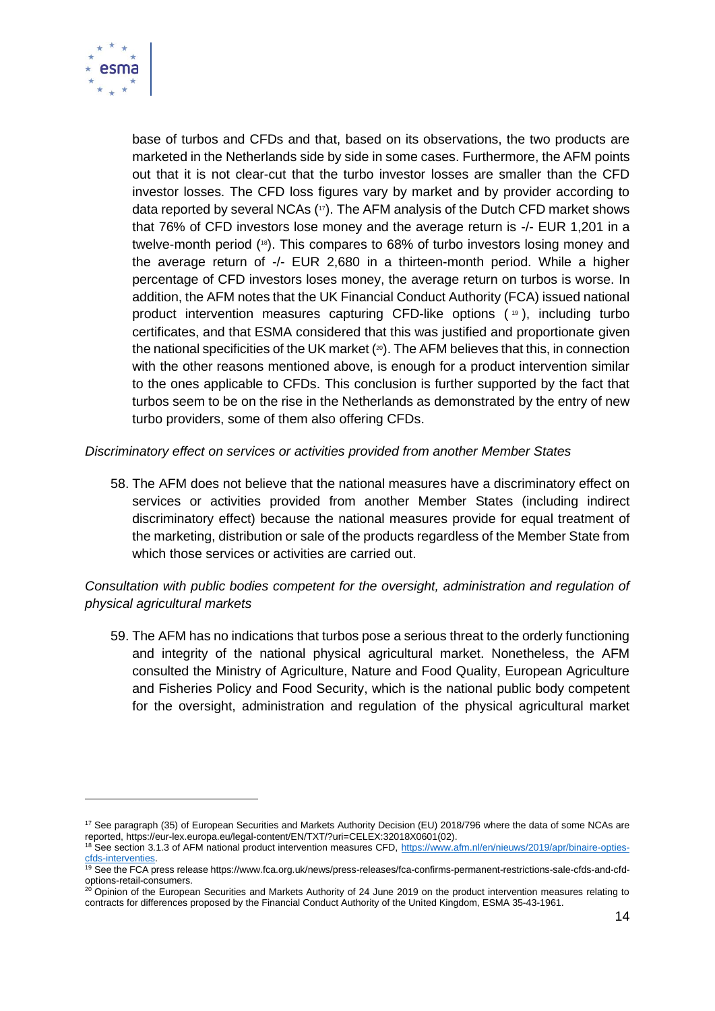

base of turbos and CFDs and that, based on its observations, the two products are marketed in the Netherlands side by side in some cases. Furthermore, the AFM points out that it is not clear-cut that the turbo investor losses are smaller than the CFD investor losses. The CFD loss figures vary by market and by provider according to data reported by several NCAs (17). The AFM analysis of the Dutch CFD market shows that 76% of CFD investors lose money and the average return is -/- EUR 1,201 in a twelve-month period (18). This compares to 68% of turbo investors losing money and the average return of -/- EUR 2,680 in a thirteen-month period. While a higher percentage of CFD investors loses money, the average return on turbos is worse. In addition, the AFM notes that the UK Financial Conduct Authority (FCA) issued national product intervention measures capturing CFD-like options ( <sup>19</sup> ), including turbo certificates, and that ESMA considered that this was justified and proportionate given the national specificities of the UK market ( <sup>20</sup>). The AFM believes that this, in connection with the other reasons mentioned above, is enough for a product intervention similar to the ones applicable to CFDs. This conclusion is further supported by the fact that turbos seem to be on the rise in the Netherlands as demonstrated by the entry of new turbo providers, some of them also offering CFDs.

*Discriminatory effect on services or activities provided from another Member States*

58. The AFM does not believe that the national measures have a discriminatory effect on services or activities provided from another Member States (including indirect discriminatory effect) because the national measures provide for equal treatment of the marketing, distribution or sale of the products regardless of the Member State from which those services or activities are carried out.

# *Consultation with public bodies competent for the oversight, administration and regulation of physical agricultural markets*

59. The AFM has no indications that turbos pose a serious threat to the orderly functioning and integrity of the national physical agricultural market. Nonetheless, the AFM consulted the Ministry of Agriculture, Nature and Food Quality, European Agriculture and Fisheries Policy and Food Security, which is the national public body competent for the oversight, administration and regulation of the physical agricultural market

<sup>&</sup>lt;sup>17</sup> See paragraph (35) of European Securities and Markets Authority Decision (EU) 2018/796 where the data of some NCAs are reported, https://eur-lex.europa.eu/legal-content/EN/TXT/?uri=CELEX:32018X0601(02).

<sup>18</sup> See section 3.1.3 of AFM national product intervention measures CFD, [https://www.afm.nl/en/nieuws/2019/apr/binaire-opties](https://www.afm.nl/en/nieuws/2019/apr/binaire-opties-cfds-interventies)[cfds-interventies.](https://www.afm.nl/en/nieuws/2019/apr/binaire-opties-cfds-interventies)

<sup>&</sup>lt;sup>19</sup> See the FCA press release https://www.fca.org.uk/news/press-releases/fca-confirms-permanent-restrictions-sale-cfds-and-cfdoptions-retail-consumers.

 $20$  Opinion of the European Securities and Markets Authority of 24 June 2019 on the product intervention measures relating to contracts for differences proposed by the Financial Conduct Authority of the United Kingdom, ESMA 35-43-1961.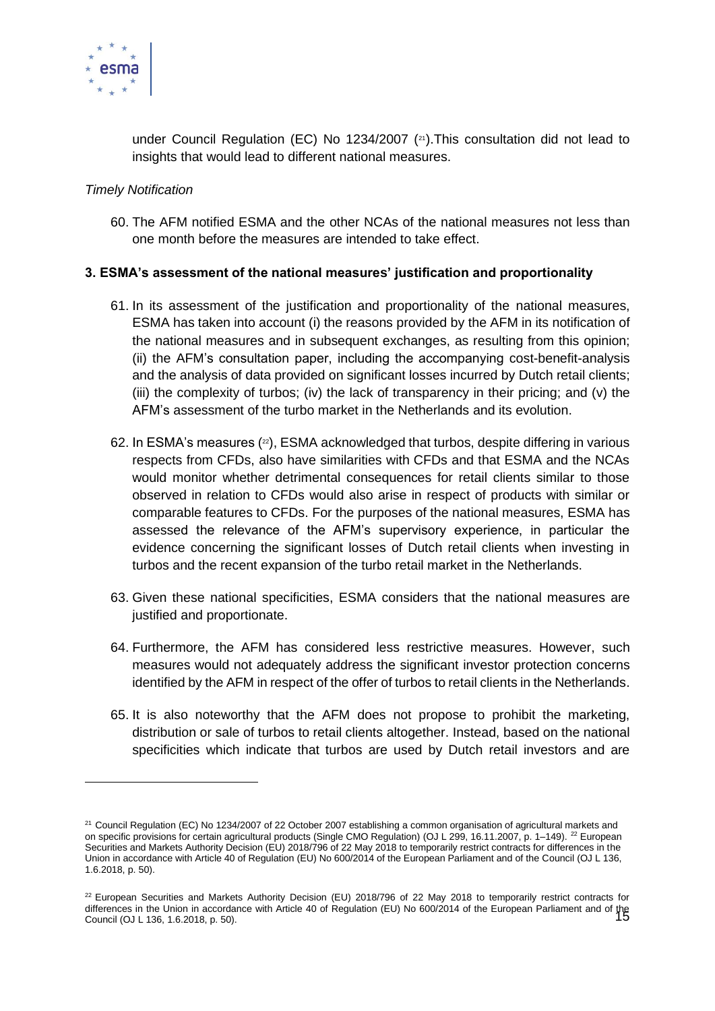

under Council Regulation (EC) No 1234/2007 ( <sup>21</sup>).This consultation did not lead to insights that would lead to different national measures.

### *Timely Notification*

60. The AFM notified ESMA and the other NCAs of the national measures not less than one month before the measures are intended to take effect.

### **3. ESMA's assessment of the national measures' justification and proportionality**

- 61. In its assessment of the justification and proportionality of the national measures, ESMA has taken into account (i) the reasons provided by the AFM in its notification of the national measures and in subsequent exchanges, as resulting from this opinion; (ii) the AFM's consultation paper, including the accompanying cost-benefit-analysis and the analysis of data provided on significant losses incurred by Dutch retail clients; (iii) the complexity of turbos; (iv) the lack of transparency in their pricing; and (v) the AFM's assessment of the turbo market in the Netherlands and its evolution.
- 62. In ESMA's measures (<sup>22</sup>), ESMA acknowledged that turbos, despite differing in various respects from CFDs, also have similarities with CFDs and that ESMA and the NCAs would monitor whether detrimental consequences for retail clients similar to those observed in relation to CFDs would also arise in respect of products with similar or comparable features to CFDs. For the purposes of the national measures, ESMA has assessed the relevance of the AFM's supervisory experience, in particular the evidence concerning the significant losses of Dutch retail clients when investing in turbos and the recent expansion of the turbo retail market in the Netherlands.
- 63. Given these national specificities, ESMA considers that the national measures are justified and proportionate.
- 64. Furthermore, the AFM has considered less restrictive measures. However, such measures would not adequately address the significant investor protection concerns identified by the AFM in respect of the offer of turbos to retail clients in the Netherlands.
- 65. It is also noteworthy that the AFM does not propose to prohibit the marketing, distribution or sale of turbos to retail clients altogether. Instead, based on the national specificities which indicate that turbos are used by Dutch retail investors and are

<sup>&</sup>lt;sup>21</sup> Council Regulation (EC) No 1234/2007 of 22 October 2007 establishing a common organisation of agricultural markets and on specific provisions for certain agricultural products (Single CMO Regulation) (OJ L 299, 16.11.2007, p. 1–149). <sup>22</sup> European Securities and Markets Authority Decision (EU) 2018/796 of 22 May 2018 to temporarily restrict contracts for differences in the Union in accordance with Article 40 of Regulation (EU) No 600/2014 of the European Parliament and of the Council (OJ L 136, 1.6.2018, p. 50).

differences in the Union in accordance with Article 40 of Regulation (EU) No 600/2014 of the European Parliament and of the<br>15  $22$  European Securities and Markets Authority Decision (EU) 2018/796 of 22 May 2018 to temporarily restrict contracts for Council (OJ L 136, 1.6.2018, p. 50).